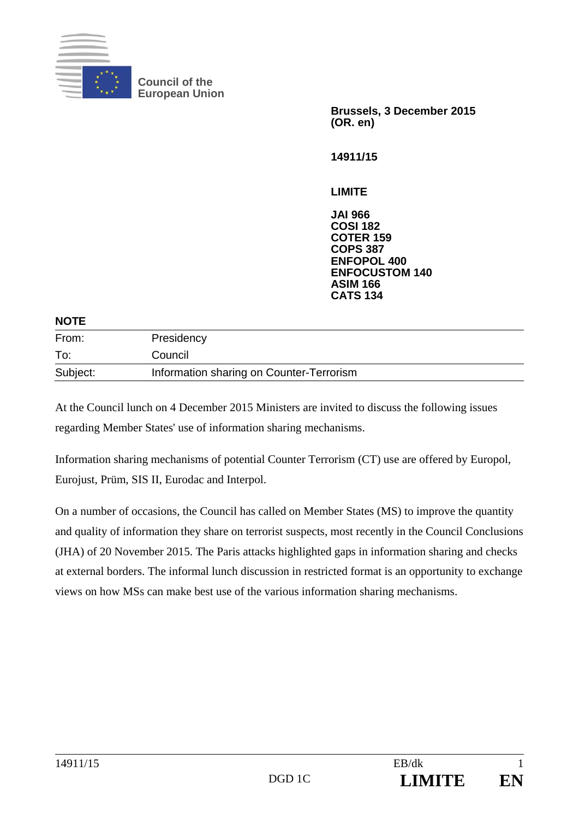

**Council of the European Union** 

> **Brussels, 3 December 2015 (OR. en)**

**14911/15** 

**LIMITE** 

**JAI 966 COSI 182 COTER 159 COPS 387 ENFOPOL 400 ENFOCUSTOM 140 ASIM 166 CATS 134**

| <b>NOTE</b> |                                          |  |
|-------------|------------------------------------------|--|
| From:       | Presidency                               |  |
| To:         | Council                                  |  |
| Subject:    | Information sharing on Counter-Terrorism |  |
|             |                                          |  |

At the Council lunch on 4 December 2015 Ministers are invited to discuss the following issues regarding Member States' use of information sharing mechanisms.

Information sharing mechanisms of potential Counter Terrorism (CT) use are offered by Europol, Eurojust, Prüm, SIS II, Eurodac and Interpol.

On a number of occasions, the Council has called on Member States (MS) to improve the quantity and quality of information they share on terrorist suspects, most recently in the Council Conclusions (JHA) of 20 November 2015. The Paris attacks highlighted gaps in information sharing and checks at external borders. The informal lunch discussion in restricted format is an opportunity to exchange views on how MSs can make best use of the various information sharing mechanisms.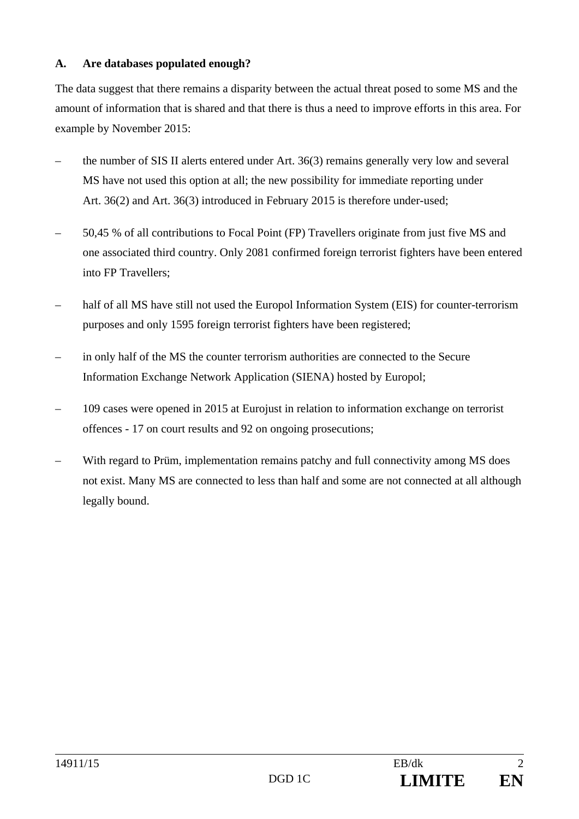## **A. Are databases populated enough?**

The data suggest that there remains a disparity between the actual threat posed to some MS and the amount of information that is shared and that there is thus a need to improve efforts in this area. For example by November 2015:

- the number of SIS II alerts entered under Art. 36(3) remains generally very low and several MS have not used this option at all; the new possibility for immediate reporting under Art. 36(2) and Art. 36(3) introduced in February 2015 is therefore under-used;
- 50,45 % of all contributions to Focal Point (FP) Travellers originate from just five MS and one associated third country. Only 2081 confirmed foreign terrorist fighters have been entered into FP Travellers;
- half of all MS have still not used the Europol Information System (EIS) for counter-terrorism purposes and only 1595 foreign terrorist fighters have been registered;
- in only half of the MS the counter terrorism authorities are connected to the Secure Information Exchange Network Application (SIENA) hosted by Europol;
- 109 cases were opened in 2015 at Eurojust in relation to information exchange on terrorist offences - 17 on court results and 92 on ongoing prosecutions;
- With regard to Prüm, implementation remains patchy and full connectivity among MS does not exist. Many MS are connected to less than half and some are not connected at all although legally bound.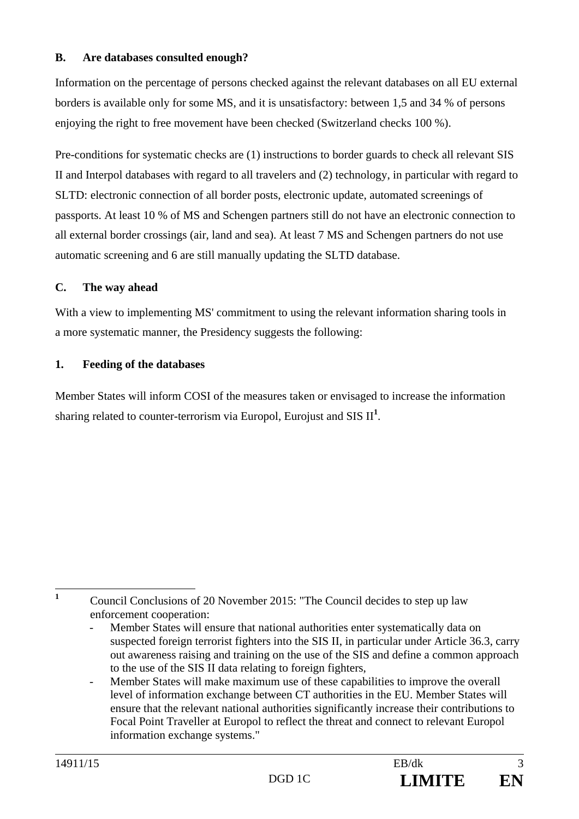#### **B. Are databases consulted enough?**

Information on the percentage of persons checked against the relevant databases on all EU external borders is available only for some MS, and it is unsatisfactory: between 1,5 and 34 % of persons enjoying the right to free movement have been checked (Switzerland checks 100 %).

Pre-conditions for systematic checks are (1) instructions to border guards to check all relevant SIS II and Interpol databases with regard to all travelers and (2) technology, in particular with regard to SLTD: electronic connection of all border posts, electronic update, automated screenings of passports. At least 10 % of MS and Schengen partners still do not have an electronic connection to all external border crossings (air, land and sea). At least 7 MS and Schengen partners do not use automatic screening and 6 are still manually updating the SLTD database.

## **C. The way ahead**

With a view to implementing MS' commitment to using the relevant information sharing tools in a more systematic manner, the Presidency suggests the following:

#### **1. Feeding of the databases**

Member States will inform COSI of the measures taken or envisaged to increase the information sharing related to counter-terrorism via Europol, Eurojust and SIS  $II<sup>1</sup>$ .

**1**

Council Conclusions of 20 November 2015: "The Council decides to step up law enforcement cooperation:

Member States will ensure that national authorities enter systematically data on suspected foreign terrorist fighters into the SIS II, in particular under Article 36.3, carry out awareness raising and training on the use of the SIS and define a common approach to the use of the SIS II data relating to foreign fighters,

Member States will make maximum use of these capabilities to improve the overall level of information exchange between CT authorities in the EU. Member States will ensure that the relevant national authorities significantly increase their contributions to Focal Point Traveller at Europol to reflect the threat and connect to relevant Europol information exchange systems."